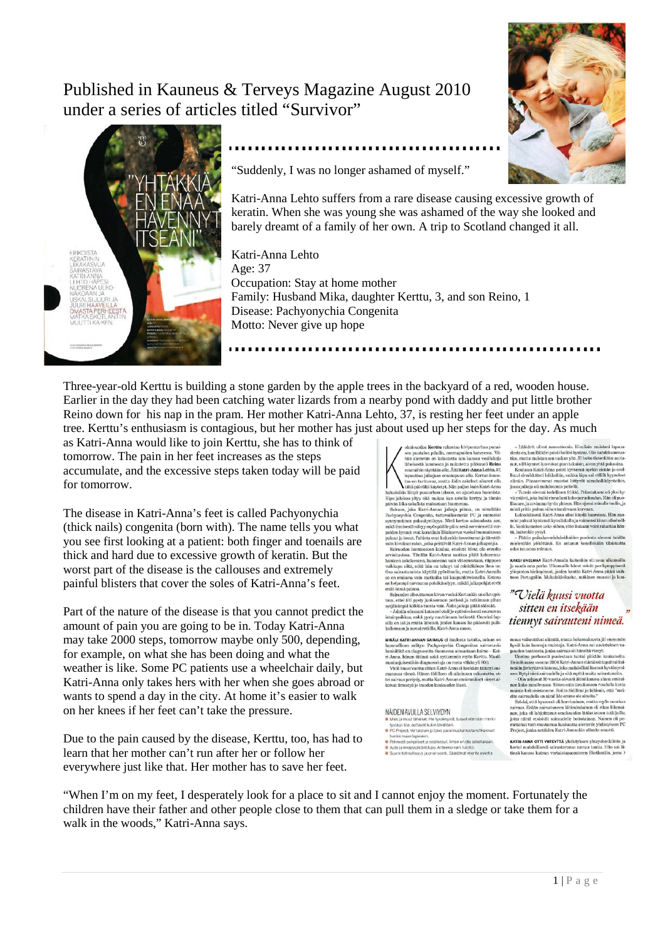Published in Kauneus & Terveys Magazine August 2010 under a series of articles titled "Survivor"





"Suddenly, I was no longer ashamed of myself."

Katri-Anna Lehto suffers from a rare disease causing excessive growth of keratin. When she was young she was ashamed of the way she looked and barely dreamt of a family of her own. A trip to Scotland changed it all.

Katri-Anna Lehto Age: 37 Occupation: Stay at home mother Family: Husband Mika, daughter Kerttu, 3, and son Reino, 1 Disease: Pachyonychia Congenita Motto: Never give up hope

Three-year-old Kerttu is building a stone garden by the apple trees in the backyard of a red, wooden house. Earlier in the day they had been catching water lizards from a nearby pond with daddy and put little brother Reino down for his nap in the pram. Her mother Katri-Anna Lehto, 37, is resting her feet under an apple tree. Kerttu's enthusiasm is contagious, but her mother has just about used up her steps for the day. As much

as Katri-Anna would like to join Kerttu, she has to think of tomorrow. The pain in her feet increases as the steps accumulate, and the excessive steps taken today will be paid for tomorrow.

The disease in Katri-Anna's feet is called Pachyonychia (thick nails) congenita (born with). The name tells you what you see first looking at a patient: both finger and toenails are thick and hard due to excessive growth of keratin. But the worst part of the disease is the callouses and extremely painful blisters that cover the soles of Katri-Anna's feet.

Part of the nature of the disease is that you cannot predict the amount of pain you are going to be in. Today Katri-Anna may take 2000 steps, tomorrow maybe only 500, depending, for example, on what she has been doing and what the weather is like. Some PC patients use a wheelchair daily, but Katri-Anna only takes hers with her when she goes abroad or wants to spend a day in the city. At home it's easier to walk on her knees if her feet can't take the pressure.

Due to the pain caused by the disease, Kerttu, too, has had to learn that her mother can't run after her or follow her everywhere just like that. Her mother has to save her feet.

sien puutavaltaa Kerttu rakentaa kivipuutarhaa punaisen punaisen punaisen puutavaltaa pompulalla, omenepuiden katteessesä. Valialeisestä liammeistä ja näkintettu piikkuveit Reiho suuruutinin rihystään alle. Aiti Kart+Aman

paksat ja kovat. Pahinta ovat kuttenkin kovettumat ja äärettelö<br>mään ja konsilainen konsilainen korka peittävät Katri-Ännan jalkkapohjia. Sairuuden hoottesseen kuuluu, etteivät kivut üle emattat arvioitavissa. Tänään Katr

MIKĀLI KATRI-ANNAN SAIRAUS ei kuulosta tutulta, asiaar monollinen selitys: Pachdonychia Congenitaa sairastavia<br>henkilöitä on diagnosoitu Suomessa ainoastaan kolme – Kat-Ama, hänen äitinsä sekä ryttemmin myös Kerttu. Maail-<br>manlaajuisestikin diagnosoituja on vasta vähän yli 800 van autonsa vieneä. Hänen äidilleen oli aikoinaan vakutei sairaus periydy, mutta Katri-Annan ensimmäise<br>koivat ilmestyä jo kuuden kuukauden lässä.

#### NÄIDEN AVULLA SEI VIYDYN iles ja muut laneiset. He nyväk<br>istä ja iloa, auttavat kukin taval C Project. Vertaistuki ja toivo parannuskeinosta rohka irmaan lapsiakin.<br>neät pohjalliset ja sisätossut. Ilman en ota askeltakaan<br>ja irwapysäköintilupa. Anteeksi vain, luonto.<br>intelmallisuus ja priorisointi. Säästävät monta askelta

ninus.<br>pinti. Saastavat monta askelta

- Lääkärit olivat neuvottomia. Kivuliain  $-$ Lääkärit olivat neuvattomia. Kivallain muistoni lapsuuden olivat neuvattomia kesä on kan lääkärit olivattomia paikkivaltoisesta muiston sen tuskan paikkivaltoisesta muiston paikkivaltoisesta muiston paikkivaltoisesta m

............

siimiin. Piinaavimmat muistot liittyött uimahallikkiynteihin, jossa jalkoja oli mahdotonta peltellä.<br>1998 – Tunsin olevani totellistlikki Peltestkasen oli yksi hyvän olevan totellistlikki Peltestkasen oli yksi hyvän väyte

 $\begin{tabular}{p{0.85\textwidth}} \hline Lukioikaisenä Katt-Anna ikoi käydä bareissa. Hä  
mioi pakust kytnensä kyynislakalla ja vaimensi kivun all  
la. Vankkumaton usko siihen, ettei kukaan voisi rakast.  
ta, kankkumnton usko siihen, ettei kukaan vuosi rakast.  
ta, kuitenkin pysyi.  
– Päätin poikakaveriehdokkaiden puolesta olevani$ 

Päätin poikakaveriehdokkaiden puolesta olevani heidän<br>estään vököttävä. En antanut kenellekään tilaisuutta edes tutustua minuun

 $\textbf{KAKS1}$  UNELMAA Katri-Annalla kuitenkin oli: asua ulkon ja saada oma perhe. Ulkomaille hänet veivät parikympp yliopiston kieliopinnot, joiden kautta Katri-Anna pääsi toon Portugaliin. Mukulakivikadut, mäkinen maasto j

### "Vielä kuusi vuotta sitten en itsekään tiennyt sairauteni nimeä.

muus vaikeuttivat elämää, mutta kokemuksesta jäi enemmän hyviä kuin huonoja muistoja. Katri-Anna sai aavistuksen valeen tuteesta, jonka sairaas oli häneltä vienyt. Unelma perheestä, jonka sairaas oli häneltä vienyt. Heinä remaansassa vuonna 2000 Katuristuma 2014 mehällä saapauta Kuristuma keskin järisyttävä käänne, joka mahdollisti itsensä hyväksymisen: löytyi nimi sairaudelle ja sitä myötä muita sairastunelta.<br>-- Olin uskonut 30 vuotta ole

musta ratarisastarime. Sottin autumen ja minsulmat, että menualistarimat oli mainutella on nimil Me emme ole ainoita."<br>Selvisi, että kyseessä oli harvinainen, mutta myös onneka<br>sairaus. Erälän sairaustuneen lähisikukuinen rustanut vain muutamaa kuukautta aiemmin yhdistyksen PC<br>Project, jonka nettisivu Katri-Annankin elämän muutti.

KATRI-ANNA OTTI YHTEYTTÄ yhdistyksen yhteyshenkilöön ja kertoi mahdollisesti sairastavansa samaa tautia. Hän sai äi tinsä kanssa kutsun vertaistapaamiseen Skotlantiin, jossa >

"When I'm on my feet, I desperately look for a place to sit and I cannot enjoy the moment. Fortunately the children have their father and other people close to them that can pull them in a sledge or take them for a walk in the woods," Katri-Anna says.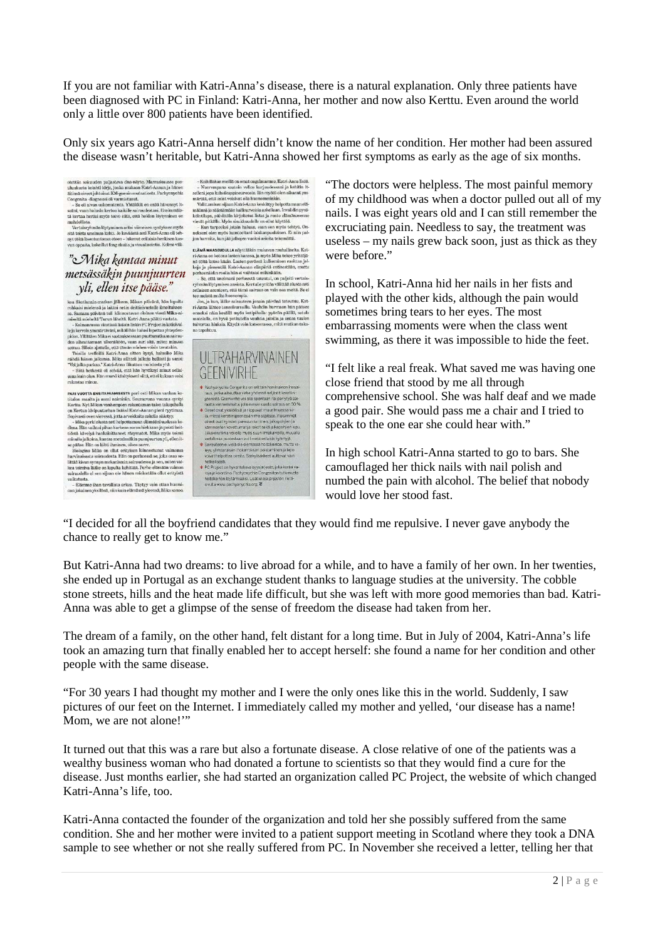If you are not familiar with Katri-Anna's disease, there is a natural explanation. Only three patients have been diagnosed with PC in Finland: Katri-Anna, her mother and now also Kerttu. Even around the world only a little over 800 patients have been identified.

Only six years ago Katri-Anna herself didn't know the name of her condition. Her mother had been assured the disease wasn't heritable, but Katri-Anna showed her first symptoms as early as the age of six months.

otettiin sairauden paljastava d<br/>na-näyte. Marraskaussa positiluukusta koihtil kirje, jonka mukaan Katti-Annan ja hänen älinen öinen olivatusta koihti kirje geenin mutaa<br/>tati-Annan ja hänen Congenita -diagnoosi oli

## "Mika kantaa minut metsässäkin puunjuurten vli, ellen itse pääse."

 $JUL$ , CLLCIL LUSC  $PULUSE$ ,<br>koa Skotlannin-matkan jälkeen, Mikan päivänä, hän lopulta<br>rohkaisi mielensä ja laittoi netin deittisivustolle ilmoituksen. koa Skotlannin-matkan jälkeen, Mikan päivänä, hän lopulta rohkaisi mielestä ja laiktoi neitinköistä liiktoi esitä sattaa sa. Samana päivänä tuli kiininostavan oloinen viesti Mikan-miseltä mieleltä Turun liheltä. Katri-Ann

rakastaa minua ali meni naimisilin. Seuraavat pari osti Mikan vanhan kohtata meni naimisilin. Seuraavana vuonna syntyi Keettu. Nyk Mikan vanhempien rakentama takoni atkapuhalla. Sepivasti over Mertun kivipuutarhan lisäksi

saa audens er sen squan om namen meksekaar ome eng som<br>vaikutusta.<br>- Elämme ihan tavallista arkea. Täytyy vain ottaa huomioon jokainen yksilönä, niin kuin elämässä yleensä, Mika sanoo.

 $-$ Kaikillahan mell<br/>lla on omat orgelmamme, Katri-Anna lisää.  $-$  Nuorenpanna saatoin vel<br/>loa karjuudessani ja kehitin itselleni jopa kahvikuppineuroosin. Ian myötä ole<br/>n likamist $ym$ mella märkikumisen säjaan

ELÄMÄ MAASEUDULLA näyttääkin mukavan rauhalliselta. Kat

 $\textbf{E}\textbf{AAA}$  MAASEU<br/>OULLA näyttääkin mukavan rauhalliselta. Katti-Ama on kotora laisten kansaa, ja myös Mikia tele<br/>o yritäijä. Kapi meistään ja jaisensitää ja jaisensitään kaisti-Aman eilippitä entisetään, mutta

on tanahtuu



"The doctors were helpless. The most painful memory of my childhood was when a doctor pulled out all of my nails. I was eight years old and I can still remember the excruciating pain. Needless to say, the treatment was useless – my nails grew back soon, just as thick as they were before."

In school, Katri-Anna hid her nails in her fists and played with the other kids, although the pain would sometimes bring tears to her eyes. The most embarrassing moments were when the class went swimming, as there it was impossible to hide the feet.

"I felt like a real freak. What saved me was having one close friend that stood by me all through comprehensive school. She was half deaf and we made a good pair. She would pass me a chair and I tried to speak to the one ear she could hear with."

In high school Katri-Anna started to go to bars. She camouflaged her thick nails with nail polish and numbed the pain with alcohol. The belief that nobody would love her stood fast.

"I decided for all the boyfriend candidates that they would find me repulsive. I never gave anybody the chance to really get to know me."

But Katri-Anna had two dreams: to live abroad for a while, and to have a family of her own. In her twenties, she ended up in Portugal as an exchange student thanks to language studies at the university. The cobble stone streets, hills and the heat made life difficult, but she was left with more good memories than bad. Katri-Anna was able to get a glimpse of the sense of freedom the disease had taken from her.

The dream of a family, on the other hand, felt distant for a long time. But in July of 2004, Katri-Anna's life took an amazing turn that finally enabled her to accept herself: she found a name for her condition and other people with the same disease.

"For 30 years I had thought my mother and I were the only ones like this in the world. Suddenly, I saw pictures of our feet on the Internet. I immediately called my mother and yelled, 'our disease has a name! Mom, we are not alone!"

It turned out that this was a rare but also a fortunate disease. A close relative of one of the patients was a wealthy business woman who had donated a fortune to scientists so that they would find a cure for the disease. Just months earlier, she had started an organization called PC Project, the website of which changed Katri-Anna's life, too.

Katri-Anna contacted the founder of the organization and told her she possibly suffered from the same condition. She and her mother were invited to a patient support meeting in Scotland where they took a DNA sample to see whether or not she really suffered from PC. In November she received a letter, telling her that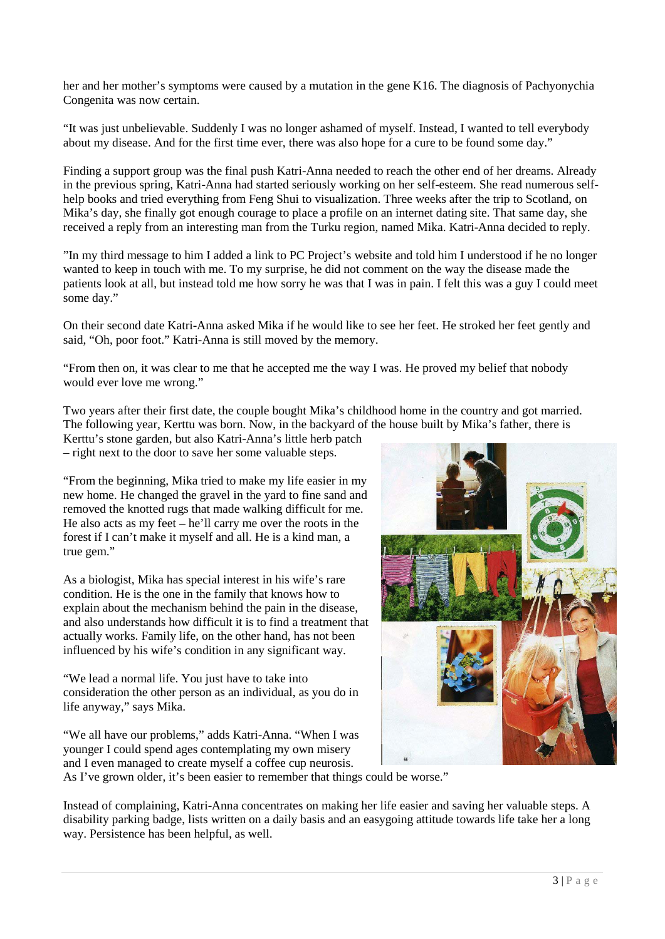her and her mother's symptoms were caused by a mutation in the gene K16. The diagnosis of Pachyonychia Congenita was now certain.

"It was just unbelievable. Suddenly I was no longer ashamed of myself. Instead, I wanted to tell everybody about my disease. And for the first time ever, there was also hope for a cure to be found some day."

Finding a support group was the final push Katri-Anna needed to reach the other end of her dreams. Already in the previous spring, Katri-Anna had started seriously working on her self-esteem. She read numerous selfhelp books and tried everything from Feng Shui to visualization. Three weeks after the trip to Scotland, on Mika's day, she finally got enough courage to place a profile on an internet dating site. That same day, she received a reply from an interesting man from the Turku region, named Mika. Katri-Anna decided to reply.

"In my third message to him I added a link to PC Project's website and told him I understood if he no longer wanted to keep in touch with me. To my surprise, he did not comment on the way the disease made the patients look at all, but instead told me how sorry he was that I was in pain. I felt this was a guy I could meet some day."

On their second date Katri-Anna asked Mika if he would like to see her feet. He stroked her feet gently and said, "Oh, poor foot." Katri-Anna is still moved by the memory.

"From then on, it was clear to me that he accepted me the way I was. He proved my belief that nobody would ever love me wrong."

Two years after their first date, the couple bought Mika's childhood home in the country and got married. The following year, Kerttu was born. Now, in the backyard of the house built by Mika's father, there is

Kerttu's stone garden, but also Katri-Anna's little herb patch – right next to the door to save her some valuable steps.

"From the beginning, Mika tried to make my life easier in my new home. He changed the gravel in the yard to fine sand and removed the knotted rugs that made walking difficult for me. He also acts as my feet – he'll carry me over the roots in the forest if I can't make it myself and all. He is a kind man, a true gem."

As a biologist, Mika has special interest in his wife's rare condition. He is the one in the family that knows how to explain about the mechanism behind the pain in the disease, and also understands how difficult it is to find a treatment that actually works. Family life, on the other hand, has not been influenced by his wife's condition in any significant way.

"We lead a normal life. You just have to take into consideration the other person as an individual, as you do in life anyway," says Mika.

"We all have our problems," adds Katri-Anna. "When I was younger I could spend ages contemplating my own misery and I even managed to create myself a coffee cup neurosis.



As I've grown older, it's been easier to remember that things could be worse."

Instead of complaining, Katri-Anna concentrates on making her life easier and saving her valuable steps. A disability parking badge, lists written on a daily basis and an easygoing attitude towards life take her a long way. Persistence has been helpful, as well.